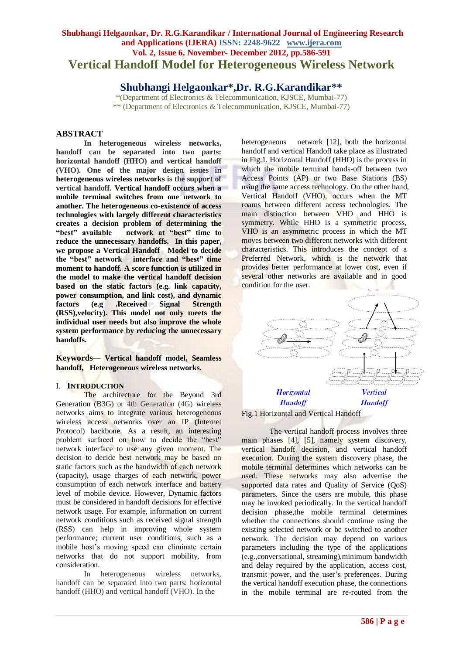# **Shubhangi Helgaonkar, Dr. R.G.Karandikar / International Journal of Engineering Research and Applications (IJERA) ISSN: 2248-9622 www.ijera.com Vol. 2, Issue 6, November- December 2012, pp.586-591 Vertical Handoff Model for Heterogeneous Wireless Network**

# **Shubhangi Helgaonkar\*,Dr. R.G.Karandikar\*\***

\*(Department of Electronics & Telecommunication, KJSCE, Mumbai-77) \*\* (Department of Electronics & Telecommunication, KJSCE, Mumbai-77)

# **ABSTRACT**

**In heterogeneous wireless networks, handoff can be separated into two parts: horizontal handoff (HHO) and vertical handoff (VHO). One of the major design issues in heterogeneous wireless networks is the support of vertical handoff. Vertical handoff occurs when a mobile terminal switches from one network to another. The heterogeneous co-existence of access technologies with largely different characteristics creates a decision problem of determining the "best" available network at "best" time to reduce the unnecessary handoffs. In this paper, we propose a Vertical Handoff Model to decide the "best" network interface and "best" time moment to handoff. A score function is utilized in the model to make the vertical handoff decision based on the static factors (e.g. link capacity, power consumption, and link cost), and dynamic factors (e.g .Received Signal Strength (RSS),velocity). This model not only meets the individual user needs but also improve the whole system performance by reducing the unnecessary handoffs.**

**Keywords***—* **Vertical handoff model, Seamless handoff, Heterogeneous wireless networks.**

# I. **INTRODUCTION**

The architecture for the Beyond 3rd Generation (B3G) or 4th Generation (4G) wireless networks aims to integrate various heterogeneous wireless access networks over an IP (Internet Protocol) backbone. As a result, an interesting problem surfaced on how to decide the "best" network interface to use any given moment. The decision to decide best network may be based on static factors such as the bandwidth of each network (capacity), usage charges of each network, power consumption of each network interface and battery level of mobile device. However, Dynamic factors must be considered in handoff decisions for effective network usage. For example, information on current network conditions such as received signal strength (RSS) can help in improving whole system performance; current user conditions, such as a mobile host's moving speed can eliminate certain networks that do not support mobility, from consideration.

In heterogeneous wireless networks, handoff can be separated into two parts: horizontal handoff (HHO) and vertical handoff (VHO). In the

heterogeneous network [12], both the horizontal handoff and vertical Handoff take place as illustrated in Fig.1. Horizontal Handoff (HHO) is the process in which the mobile terminal hands-off between two Access Points (AP) or two Base Stations (BS) using the same access technology. On the other hand, Vertical Handoff (VHO), occurs when the MT roams between different access technologies. The main distinction between VHO and HHO is symmetry. While HHO is a symmetric process, VHO is an asymmetric process in which the MT moves between two different networks with different characteristics. This introduces the concept of a Preferred Network*,* which is the network that provides better performance at lower cost, even if several other networks are available and in good condition for the user.





The vertical handoff process involves three main phases [4], [5], namely system discovery, vertical handoff decision, and vertical handoff execution. During the system discovery phase, the mobile terminal determines which networks can be used. These networks may also advertise the supported data rates and Quality of Service (QoS) parameters. Since the users are mobile, this phase may be invoked periodically. In the vertical handoff decision phase,the mobile terminal determines whether the connections should continue using the existing selected network or be switched to another network. The decision may depend on various parameters including the type of the applications (e.g.,conversational, streaming),minimum bandwidth and delay required by the application, access cost, transmit power, and the user's preferences. During the vertical handoff execution phase, the connections in the mobile terminal are re-routed from the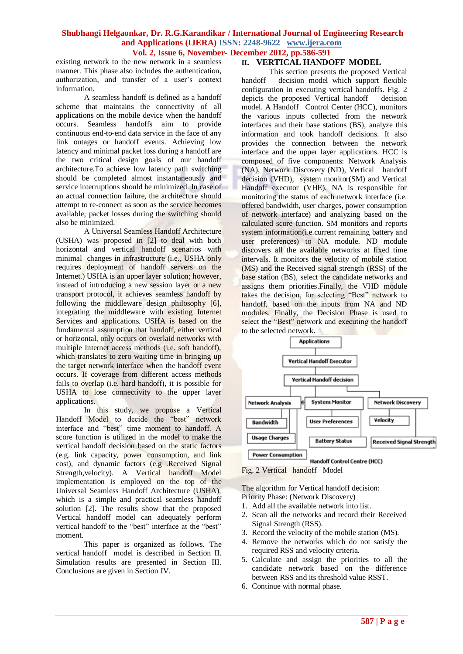existing network to the new network in a seamless manner. This phase also includes the authentication, authorization, and transfer of a user's context information.

A seamless handoff is defined as a handoff scheme that maintains the connectivity of all applications on the mobile device when the handoff occurs. Seamless handoffs aim to provide continuous end-to-end data service in the face of any link outages or handoff events. Achieving low latency and minimal packet loss during a handoff are the two critical design goals of our handoff architecture.To achieve low latency path switching should be completed almost instantaneously and service interruptions should be minimized. In case of an actual connection failure, the architecture should attempt to re-connect as soon as the service becomes available; packet losses during the switching should also be minimized.

A Universal Seamless Handoff Architecture (USHA) was proposed in [2] to deal with both horizontal and vertical handoff scenarios with minimal changes in infrastructure (i.e., USHA only requires deployment of handoff servers on the Internet.) USHA is an upper layer solution; however, instead of introducing a new session layer or a new transport protocol, it achieves seamless handoff by following the middleware design philosophy [6], integrating the middleware with existing Internet Services and applications. USHA is based on the fundamental assumption that handoff, either vertical or horizontal, only occurs on overlaid networks with multiple Internet access methods (i.e. soft handoff), which translates to zero waiting time in bringing up the target network interface when the handoff event occurs. If coverage from different access methods fails to overlap (i.e. hard handoff), it is possible for USHA to lose connectivity to the upper layer applications.

In this study, we propose a Vertical Handoff Model to decide the "best" network interface and "best" time moment to handoff. A score function is utilized in the model to make the vertical handoff decision based on the static factors (e.g. link capacity, power consumption, and link cost), and dynamic factors (e.g .Received Signal Strength,velocity). A Vertical handoff Model implementation is employed on the top of the Universal Seamless Handoff Architecture (USHA), which is a simple and practical seamless handoff solution [2]. The results show that the proposed Vertical handoff model can adequately perform vertical handoff to the "best" interface at the "best" moment.

This paper is organized as follows. The vertical handoff model is described in Section II. Simulation results are presented in Section III. Conclusions are given in Section IV.

# **II. VERTICAL HANDOFF MODEL**

This section presents the proposed Vertical handoff decision model which support flexible configuration in executing vertical handoffs. Fig. 2 depicts the proposed Vertical handoff decision model. A Handoff Control Center (HCC), monitors the various inputs collected from the network interfaces and their base stations (BS), analyze this information and took handoff decisions. It also provides the connection between the network interface and the upper layer applications. HCC is composed of five components: Network Analysis (NA), Network Discovery (ND), Vertical handoff decision (VHD), system monitor(SM) and Vertical Handoff executor (VHE). NA is responsible for monitoring the status of each network interface (i.e. offered bandwidth, user charges, power consumption of network interface) and analyzing based on the calculated score function. SM monitors and reports system information(i.e.current remaining battery and user preferences) to NA module. ND module discovers all the available networks at fixed time intervals. It monitors the velocity of mobile station (MS) and the Received signal strength (RSS) of the base station (BS), select the candidate networks and assigns them priorities.Finally, the VHD module takes the decision, for selecting "Best" network to handoff, based on the inputs from NA and ND modules. Finally, the Decision Phase is used to select the "Best" network and executing the handoff to the selected network.



Handoff Control Centre (HCC)

Fig. 2 Vertical handoff Model

The algorithm for Vertical handoff decision:

- Priority Phase: (Network Discovery)
- 1. Add all the available network into list.
- 2. Scan all the networks and record their Received Signal Strength (RSS).
- 3. Record the velocity of the mobile station (MS).
- 4. Remove the networks which do not satisfy the required RSS and velocity criteria.
- 5. Calculate and assign the priorities to all the candidate network based on the difference between RSS and its threshold value RSST.
- 6. Continue with normal phase.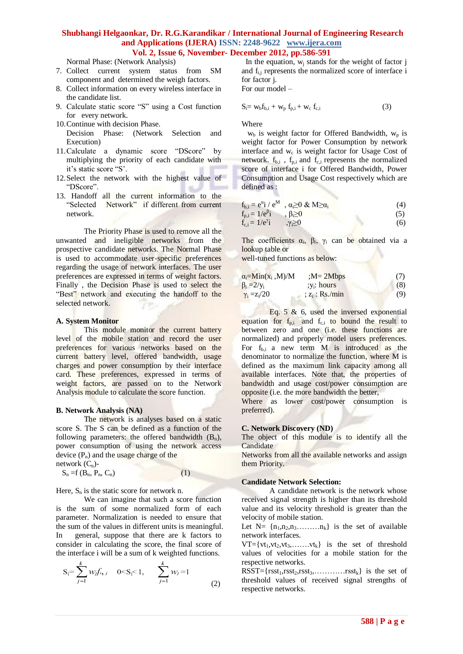Normal Phase: (Network Analysis)

- 7. Collect current system status from SM component and determined the weigh factors.
- 8. Collect information on every wireless interface in the candidate list.
- 9. Calculate static score "S" using a Cost function for every network.
- 10.Continue with decision Phase.
- Decision Phase: (Network Selection and Execution)
- 11.Calculate a dynamic score "DScore" by multiplying the priority of each candidate with it's static score "S'.
- 12.Select the network with the highest value of "DScore".
- 13. Handoff all the current information to the "Selected Network" if different from current network.

The Priority Phase is used to remove all the unwanted and ineligible networks from the prospective candidate networks. The Normal Phase is used to accommodate user-specific preferences regarding the usage of network interfaces. The user preferences are expressed in terms of weight factors. Finally , the Decision Phase is used to select the "Best" network and executing the handoff to the selected network.

#### **A. System Monitor**

This module monitor the current battery level of the mobile station and record the user preferences for various networks based on the current battery level, offered bandwidth, usage charges and power consumption by their interface card. These preferences, expressed in terms of weight factors, are passed on to the Network Analysis module to calculate the score function.

#### **B. Network Analysis (NA)**

The network is analyses based on a static score S. The S can be defined as a function of the following parameters: the offered bandwidth  $(B_n)$ , power consumption of using the network access device  $(P_n)$  and the usage charge of the

network  $(C_n)$ - $S_n = f(B_n, P_n, C_n)$  (1)

Here,  $S_n$  is the static score for network n.

We can imagine that such a score function is the sum of some normalized form of each parameter. Normalization is needed to ensure that the sum of the values in different units is meaningful. In general, suppose that there are k factors to consider in calculating the score, the final score of the interface i will be a sum of k weighted functions.

$$
S_i = \sum_{j=1}^{k} w_j f_{i, j} \quad 0 < S_i < 1, \qquad \sum_{j=1}^{k} w_j = 1 \tag{2}
$$

In the equation,  $w_i$  stands for the weight of factor  $\mathbf i$ and fi,j represents the normalized score of interface i for factor j.

For our model –

$$
S_i = w_b f_{b,i} + w_p f_{p,i} + w_c f_{c,i}
$$
 (3)

Where

 $w<sub>b</sub>$  is weight factor for Offered Bandwidth,  $w<sub>p</sub>$  is weight factor for Power Consumption by network interface and w<sub>c</sub> is weight factor for Usage Cost of network.  $f_{b,i}$ ,  $f_{p,i}$  and  $f_{c,i}$  represents the normalized score of interface i for Offered Bandwidth, Power Consumption and Usage Cost respectively which are defined as :

$$
\mathbf{f}_{\mathbf{b},i} = \mathbf{e}^{\alpha} \mathbf{i} / \mathbf{e}^{\mathbf{M}} , \ \alpha \ge 0 \ \& \ \mathbf{M} \ge \alpha_i \tag{4}
$$

$$
f_{p,i} = 1/e^{\beta}i, \qquad \beta \ge 0
$$
  
\n
$$
f_{c,i} = 1/e^{\gamma}i, \qquad \gamma \ge 0
$$
\n(5)

The coefficients  $\alpha_i$ ,  $\beta_i$ ,  $\gamma_i$  can be obtained via a lookup table or

well-tuned functions as below:

| $\alpha_i = Min(x_i, M)/M$ | $;M=2Mbps$      | (7) |
|----------------------------|-----------------|-----|
| $\beta_i = 2/y_i$          | $; v_i$ : hours | (8) |
| $\gamma_i = z_i/20$        | $z_i$ : Rs./min | (9) |

Eq. 5  $\&$  6, used the inversed exponential equation for  $f_{p,i}$  and  $f_{c,i}$  to bound the result to between zero and one (i.e. these functions are normalized) and properly model users preferences. For  $f_{b,i}$  a new term M is introduced as the denominator to normalize the function, where M is defined as the maximum link capacity among all available interfaces. Note that, the properties of bandwidth and usage cost/power consumption are opposite (i.e. the more bandwidth the better,

Where as lower cost/power consumption is preferred).

#### **C. Network Discovery (ND)**

The object of this module is to identify all the Candidate

Networks from all the available networks and assign them Priority.

#### **Candidate Network Selection:**

A candidate network is the network whose received signal strength is higher than its threshold value and its velocity threshold is greater than the velocity of mobile station.

Let  $N = \{n_1, n_2, n_3, \ldots, n_k\}$  is the set of available network interfaces.

 $VT=\{vt_1, vt_2, vt_3, \ldots, vt_k\}$  is the set of threshold values of velocities for a mobile station for the respective networks.

 $RSST = {rsst_1, rsst_2, rsst_3, \ldots, rsst_k}$  is the set of threshold values of received signal strengths of respective networks.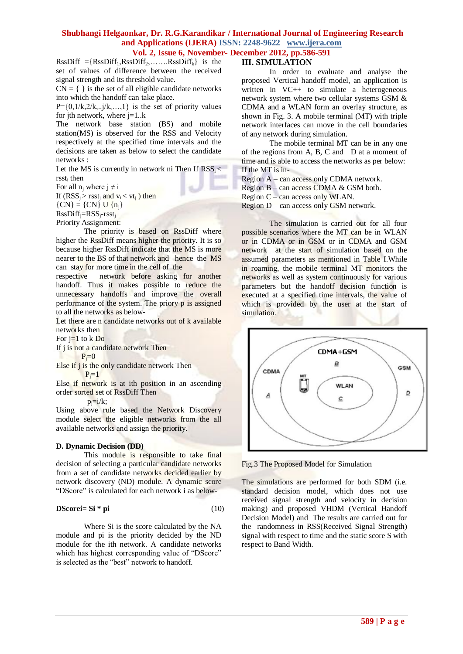$RssDiff = {RssDiff<sub>1</sub>,RssDiff<sub>2</sub>,...... RssDiff<sub>k</sub>}$  is the set of values of difference between the received signal strength and its threshold value.

 $CN = \{\}$  is the set of all eligible candidate networks into which the handoff can take place.

 $P = \{0, 1/k, 2/k, \ldots, 1\}$  is the set of priority values for jth network, where  $j=1..k$ 

The network base station (BS) and mobile station(MS) is observed for the RSS and Velocity respectively at the specified time intervals and the decisions are taken as below to select the candidate networks :

Let the MS is currently in network ni Then If  $RSS<sub>i</sub> <$  $r<sub>1</sub>$  then

For all  $n_i$  where  $i \neq i$ 

If  $(RSS_i > rsst_i$  and  $v_i < vt_i$ ) then

 ${CN} = {CN}$  U  ${n_i}$ 

RssDiffj=RSSj-rsst<sup>j</sup>

Priority Assignment:

The priority is based on RssDiff where higher the RssDiff means higher the priority. It is so because higher RssDiff indicate that the MS is more nearer to the BS of that network and hence the MS can stay for more time in the cell of the

respective network before asking for another handoff. Thus it makes possible to reduce the unnecessary handoffs and improve the overall performance of the system. The priory p is assigned to all the networks as below-

Let there are n candidate networks out of k available networks then

For  $i=1$  to k Do

If j is not a candidate network Then

 $P_i=0$ 

Else if j is the only candidate network Then  $P=1$ 

Else if network is at ith position in an ascending order sorted set of RssDiff Then

 $p_i=i/k$ ;

Using above rule based the Network Discovery module select the eligible networks from the all available networks and assign the priority.

## **D. Dynamic Decision (DD)**

This module is responsible to take final decision of selecting a particular candidate networks from a set of candidate networks decided earlier by network discovery (ND) module. A dynamic score "DScore" is calculated for each network i as below-

### **DScorei= Si \* pi**  $(10)$

Where Si is the score calculated by the NA module and pi is the priority decided by the ND module for the ith network. A candidate networks which has highest corresponding value of "DScore" is selected as the "best" network to handoff.

# **III. SIMULATION**

In order to evaluate and analyse the proposed Vertical handoff model, an application is written in VC++ to simulate a heterogeneous network system where two cellular systems GSM & CDMA and a WLAN form an overlay structure, as shown in Fig. 3. A mobile terminal (MT) with triple network interfaces can move in the cell boundaries of any network during simulation.

The mobile terminal MT can be in any one of the regions from A, B, C and D at a moment of time and is able to access the networks as per below: If the MT is in-

Region A – can access only CDMA network.

Region B – can access CDMA & GSM both.

Region C – can access only WLAN.

Region  $D$  – can access only GSM network.

The simulation is carried out for all four possible scenarios where the MT can be in WLAN or in CDMA or in GSM or in CDMA and GSM network at the start of simulation based on the assumed parameters as mentioned in Table I.While in roaming, the mobile terminal MT monitors the networks as well as system continuously for various parameters but the handoff decision function is executed at a specified time intervals, the value of which is provided by the user at the start of simulation.



Fig.3 The Proposed Model for Simulation

The simulations are performed for both SDM (i.e. standard decision model, which does not use received signal strength and velocity in decision making) and proposed VHDM (Vertical Handoff Decision Model) and The results are carried out for the randomness in RSS(Received Signal Strength) signal with respect to time and the static score S with respect to Band Width.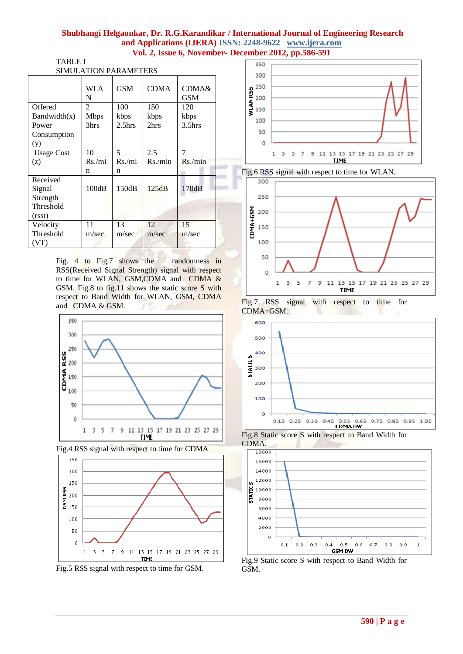|                                           | <b>SIMULATION PARAMETERS</b> |                    |             |                                |
|-------------------------------------------|------------------------------|--------------------|-------------|--------------------------------|
|                                           | WLA<br>N                     | <b>GSM</b>         | <b>CDMA</b> | <b>CDMA&amp;</b><br><b>GSM</b> |
| Offered                                   | $\mathfrak{D}$               | 100                | 150         | 120                            |
| Bandwidth(x)                              | <b>Mbps</b>                  | kbps               | kbps        | kbps                           |
| Power                                     | 3hrs                         | 2.5 <sub>hrs</sub> | 2hrs        | 3.5 <sub>hrs</sub>             |
| Consumption                               |                              |                    |             |                                |
| (y)                                       |                              |                    |             |                                |
| <b>Usage Cost</b>                         | 10                           | 5                  | 2.5         | 7                              |
| (z)                                       | Rs./mi                       | Rs/min             | Rs/min      | Rs/min                         |
|                                           | n                            | n                  |             |                                |
| Received                                  |                              |                    |             |                                |
| Signal<br>Strength<br>Threshold<br>(rsst) | 100dB                        | 150dB              | 125dB       | 170dB                          |
| Velocity                                  | 11                           | 13                 | 12          | 15                             |
| Threshold                                 | m/sec                        | m/sec              | m/sec       | m/sec                          |

Fig. 4 to Fig.7 shows the randomness in RSS(Received Signal Strength) signal with respect to time for WLAN, GSM,CDMA and CDMA & GSM. Fig.8 to fig.11 shows the static score S with respect to Band Width for WLAN, GSM, CDMA and CDMA & GSM.







Fig.5 RSS signal with respect to time for GSM.











Fig.8 Static score S with respect to Band Width for CDMA.